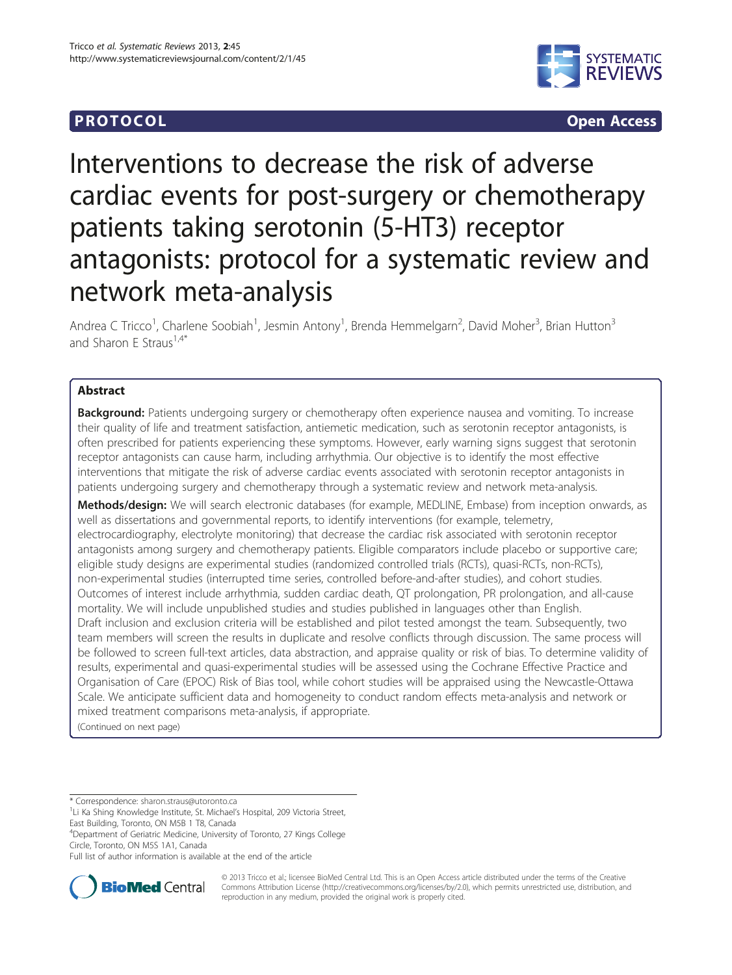## **PROTOCOL CONSUMING ACCESS**



# Interventions to decrease the risk of adverse cardiac events for post-surgery or chemotherapy patients taking serotonin (5-HT3) receptor antagonists: protocol for a systematic review and network meta-analysis

Andrea C Tricco<sup>1</sup>, Charlene Soobiah<sup>1</sup>, Jesmin Antony<sup>1</sup>, Brenda Hemmelgarn<sup>2</sup>, David Moher<sup>3</sup>, Brian Hutton<sup>3</sup> and Sharon E Straus<sup>1,4\*</sup>

## Abstract

Background: Patients undergoing surgery or chemotherapy often experience nausea and vomiting. To increase their quality of life and treatment satisfaction, antiemetic medication, such as serotonin receptor antagonists, is often prescribed for patients experiencing these symptoms. However, early warning signs suggest that serotonin receptor antagonists can cause harm, including arrhythmia. Our objective is to identify the most effective interventions that mitigate the risk of adverse cardiac events associated with serotonin receptor antagonists in patients undergoing surgery and chemotherapy through a systematic review and network meta-analysis.

Methods/design: We will search electronic databases (for example, MEDLINE, Embase) from inception onwards, as well as dissertations and governmental reports, to identify interventions (for example, telemetry, electrocardiography, electrolyte monitoring) that decrease the cardiac risk associated with serotonin receptor antagonists among surgery and chemotherapy patients. Eligible comparators include placebo or supportive care; eligible study designs are experimental studies (randomized controlled trials (RCTs), quasi-RCTs, non-RCTs), non-experimental studies (interrupted time series, controlled before-and-after studies), and cohort studies. Outcomes of interest include arrhythmia, sudden cardiac death, QT prolongation, PR prolongation, and all-cause mortality. We will include unpublished studies and studies published in languages other than English. Draft inclusion and exclusion criteria will be established and pilot tested amongst the team. Subsequently, two team members will screen the results in duplicate and resolve conflicts through discussion. The same process will be followed to screen full-text articles, data abstraction, and appraise quality or risk of bias. To determine validity of results, experimental and quasi-experimental studies will be assessed using the Cochrane Effective Practice and Organisation of Care (EPOC) Risk of Bias tool, while cohort studies will be appraised using the Newcastle-Ottawa Scale. We anticipate sufficient data and homogeneity to conduct random effects meta-analysis and network or mixed treatment comparisons meta-analysis, if appropriate.

(Continued on next page)

\* Correspondence: [sharon.straus@utoronto.ca](mailto:sharon.straus@utoronto.ca) <sup>1</sup>

4 Department of Geriatric Medicine, University of Toronto, 27 Kings College Circle, Toronto, ON M5S 1A1, Canada

Full list of author information is available at the end of the article



© 2013 Tricco et al.; licensee BioMed Central Ltd. This is an Open Access article distributed under the terms of the Creative Commons Attribution License [\(http://creativecommons.org/licenses/by/2.0\)](http://creativecommons.org/licenses/by/2.0), which permits unrestricted use, distribution, and reproduction in any medium, provided the original work is properly cited.

<sup>&</sup>lt;sup>1</sup>Li Ka Shing Knowledge Institute, St. Michael's Hospital, 209 Victoria Street, East Building, Toronto, ON M5B 1 T8, Canada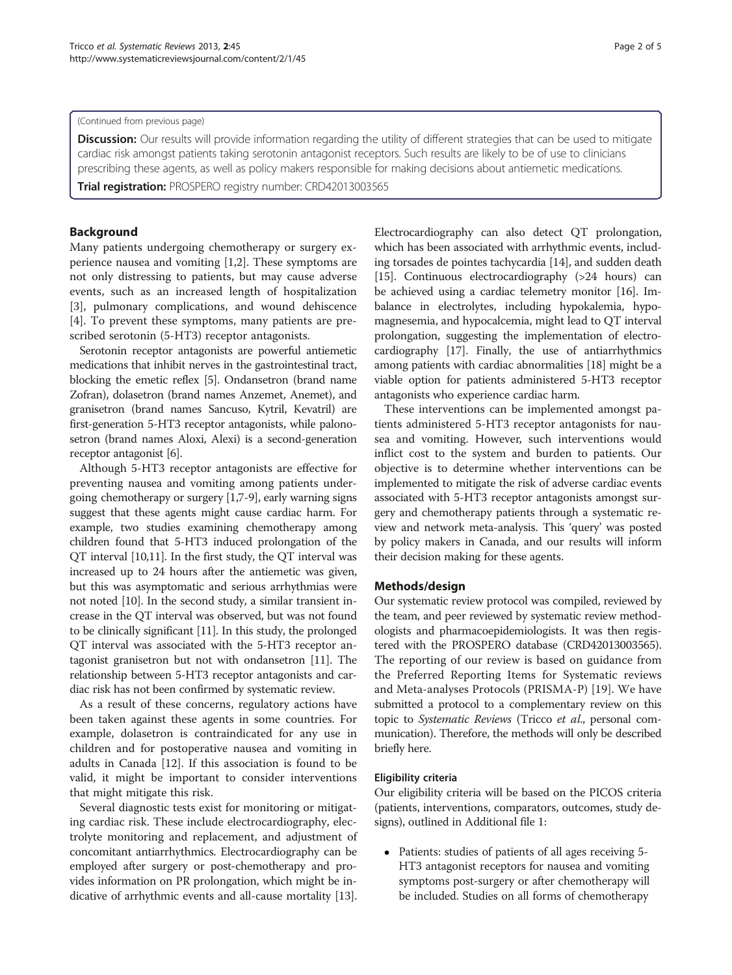#### (Continued from previous page)

Discussion: Our results will provide information regarding the utility of different strategies that can be used to mitigate cardiac risk amongst patients taking serotonin antagonist receptors. Such results are likely to be of use to clinicians prescribing these agents, as well as policy makers responsible for making decisions about antiemetic medications.

Trial registration: PROSPERO registry number: [CRD42013003565](http://www.crd.york.ac.uk/PROSPERO/display_record.asp?ID=CRD42013003565)

## Background

Many patients undergoing chemotherapy or surgery experience nausea and vomiting [\[1](#page-3-0),[2](#page-3-0)]. These symptoms are not only distressing to patients, but may cause adverse events, such as an increased length of hospitalization [[3\]](#page-3-0), pulmonary complications, and wound dehiscence [[4\]](#page-3-0). To prevent these symptoms, many patients are prescribed serotonin (5-HT3) receptor antagonists.

Serotonin receptor antagonists are powerful antiemetic medications that inhibit nerves in the gastrointestinal tract, blocking the emetic reflex [\[5\]](#page-3-0). Ondansetron (brand name Zofran), dolasetron (brand names Anzemet, Anemet), and granisetron (brand names Sancuso, Kytril, Kevatril) are first-generation 5-HT3 receptor antagonists, while palonosetron (brand names Aloxi, Alexi) is a second-generation receptor antagonist [[6](#page-3-0)].

Although 5-HT3 receptor antagonists are effective for preventing nausea and vomiting among patients undergoing chemotherapy or surgery [\[1,7-9\]](#page-3-0), early warning signs suggest that these agents might cause cardiac harm. For example, two studies examining chemotherapy among children found that 5-HT3 induced prolongation of the QT interval [[10,11\]](#page-3-0). In the first study, the QT interval was increased up to 24 hours after the antiemetic was given, but this was asymptomatic and serious arrhythmias were not noted [\[10\]](#page-3-0). In the second study, a similar transient increase in the QT interval was observed, but was not found to be clinically significant [\[11\]](#page-3-0). In this study, the prolonged QT interval was associated with the 5-HT3 receptor antagonist granisetron but not with ondansetron [[11](#page-3-0)]. The relationship between 5-HT3 receptor antagonists and cardiac risk has not been confirmed by systematic review.

As a result of these concerns, regulatory actions have been taken against these agents in some countries. For example, dolasetron is contraindicated for any use in children and for postoperative nausea and vomiting in adults in Canada [\[12](#page-3-0)]. If this association is found to be valid, it might be important to consider interventions that might mitigate this risk.

Several diagnostic tests exist for monitoring or mitigating cardiac risk. These include electrocardiography, electrolyte monitoring and replacement, and adjustment of concomitant antiarrhythmics. Electrocardiography can be employed after surgery or post-chemotherapy and provides information on PR prolongation, which might be indicative of arrhythmic events and all-cause mortality [[13](#page-3-0)].

Electrocardiography can also detect QT prolongation, which has been associated with arrhythmic events, including torsades de pointes tachycardia [\[14\]](#page-3-0), and sudden death [[15](#page-3-0)]. Continuous electrocardiography (>24 hours) can be achieved using a cardiac telemetry monitor [[16](#page-3-0)]. Imbalance in electrolytes, including hypokalemia, hypomagnesemia, and hypocalcemia, might lead to QT interval prolongation, suggesting the implementation of electrocardiography [\[17\]](#page-3-0). Finally, the use of antiarrhythmics among patients with cardiac abnormalities [[18](#page-3-0)] might be a viable option for patients administered 5-HT3 receptor antagonists who experience cardiac harm.

These interventions can be implemented amongst patients administered 5-HT3 receptor antagonists for nausea and vomiting. However, such interventions would inflict cost to the system and burden to patients. Our objective is to determine whether interventions can be implemented to mitigate the risk of adverse cardiac events associated with 5-HT3 receptor antagonists amongst surgery and chemotherapy patients through a systematic review and network meta-analysis. This 'query' was posted by policy makers in Canada, and our results will inform their decision making for these agents.

## Methods/design

Our systematic review protocol was compiled, reviewed by the team, and peer reviewed by systematic review methodologists and pharmacoepidemiologists. It was then registered with the PROSPERO database (CRD42013003565). The reporting of our review is based on guidance from the Preferred Reporting Items for Systematic reviews and Meta-analyses Protocols (PRISMA-P) [\[19\]](#page-3-0). We have submitted a protocol to a complementary review on this topic to Systematic Reviews (Tricco et al., personal communication). Therefore, the methods will only be described briefly here.

## Eligibility criteria

Our eligibility criteria will be based on the PICOS criteria (patients, interventions, comparators, outcomes, study designs), outlined in Additional file [1:](#page-3-0)

 Patients: studies of patients of all ages receiving 5- HT3 antagonist receptors for nausea and vomiting symptoms post-surgery or after chemotherapy will be included. Studies on all forms of chemotherapy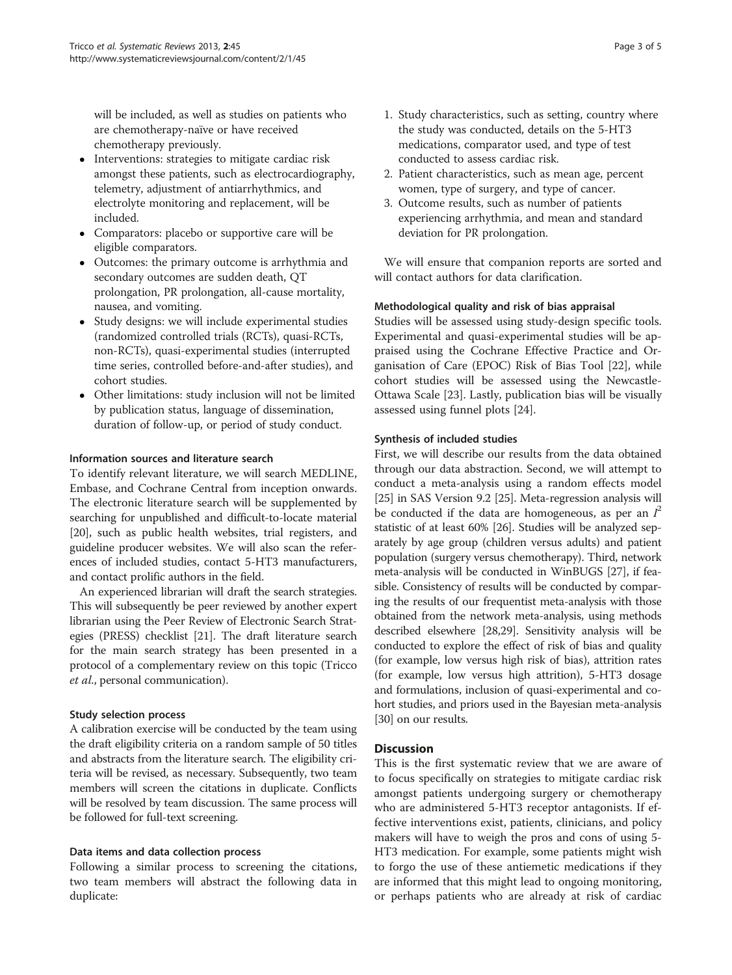will be included, as well as studies on patients who are chemotherapy-naïve or have received chemotherapy previously.

- Interventions: strategies to mitigate cardiac risk amongst these patients, such as electrocardiography, telemetry, adjustment of antiarrhythmics, and electrolyte monitoring and replacement, will be included.
- Comparators: placebo or supportive care will be eligible comparators.
- Outcomes: the primary outcome is arrhythmia and secondary outcomes are sudden death, QT prolongation, PR prolongation, all-cause mortality, nausea, and vomiting.
- Study designs: we will include experimental studies (randomized controlled trials (RCTs), quasi-RCTs, non-RCTs), quasi-experimental studies (interrupted time series, controlled before-and-after studies), and cohort studies.
- Other limitations: study inclusion will not be limited by publication status, language of dissemination, duration of follow-up, or period of study conduct.

### Information sources and literature search

To identify relevant literature, we will search MEDLINE, Embase, and Cochrane Central from inception onwards. The electronic literature search will be supplemented by searching for unpublished and difficult-to-locate material [[20](#page-3-0)], such as public health websites, trial registers, and guideline producer websites. We will also scan the references of included studies, contact 5-HT3 manufacturers, and contact prolific authors in the field.

An experienced librarian will draft the search strategies. This will subsequently be peer reviewed by another expert librarian using the Peer Review of Electronic Search Strategies (PRESS) checklist [[21](#page-3-0)]. The draft literature search for the main search strategy has been presented in a protocol of a complementary review on this topic (Tricco et al., personal communication).

## Study selection process

A calibration exercise will be conducted by the team using the draft eligibility criteria on a random sample of 50 titles and abstracts from the literature search. The eligibility criteria will be revised, as necessary. Subsequently, two team members will screen the citations in duplicate. Conflicts will be resolved by team discussion. The same process will be followed for full-text screening.

## Data items and data collection process

Following a similar process to screening the citations, two team members will abstract the following data in duplicate:

- 1. Study characteristics, such as setting, country where the study was conducted, details on the 5-HT3 medications, comparator used, and type of test conducted to assess cardiac risk.
- 2. Patient characteristics, such as mean age, percent women, type of surgery, and type of cancer.
- 3. Outcome results, such as number of patients experiencing arrhythmia, and mean and standard deviation for PR prolongation.

We will ensure that companion reports are sorted and will contact authors for data clarification.

## Methodological quality and risk of bias appraisal

Studies will be assessed using study-design specific tools. Experimental and quasi-experimental studies will be appraised using the Cochrane Effective Practice and Organisation of Care (EPOC) Risk of Bias Tool [\[22\]](#page-3-0), while cohort studies will be assessed using the Newcastle-Ottawa Scale [\[23\]](#page-3-0). Lastly, publication bias will be visually assessed using funnel plots [\[24\]](#page-3-0).

## Synthesis of included studies

First, we will describe our results from the data obtained through our data abstraction. Second, we will attempt to conduct a meta-analysis using a random effects model [[25](#page-3-0)] in SAS Version 9.2 [\[25](#page-3-0)]. Meta-regression analysis will be conducted if the data are homogeneous, as per an  $I^2$ statistic of at least 60% [\[26\]](#page-3-0). Studies will be analyzed separately by age group (children versus adults) and patient population (surgery versus chemotherapy). Third, network meta-analysis will be conducted in WinBUGS [\[27\]](#page-4-0), if feasible. Consistency of results will be conducted by comparing the results of our frequentist meta-analysis with those obtained from the network meta-analysis, using methods described elsewhere [[28,29\]](#page-4-0). Sensitivity analysis will be conducted to explore the effect of risk of bias and quality (for example, low versus high risk of bias), attrition rates (for example, low versus high attrition), 5-HT3 dosage and formulations, inclusion of quasi-experimental and cohort studies, and priors used in the Bayesian meta-analysis [[30](#page-4-0)] on our results.

## **Discussion**

This is the first systematic review that we are aware of to focus specifically on strategies to mitigate cardiac risk amongst patients undergoing surgery or chemotherapy who are administered 5-HT3 receptor antagonists. If effective interventions exist, patients, clinicians, and policy makers will have to weigh the pros and cons of using 5- HT3 medication. For example, some patients might wish to forgo the use of these antiemetic medications if they are informed that this might lead to ongoing monitoring, or perhaps patients who are already at risk of cardiac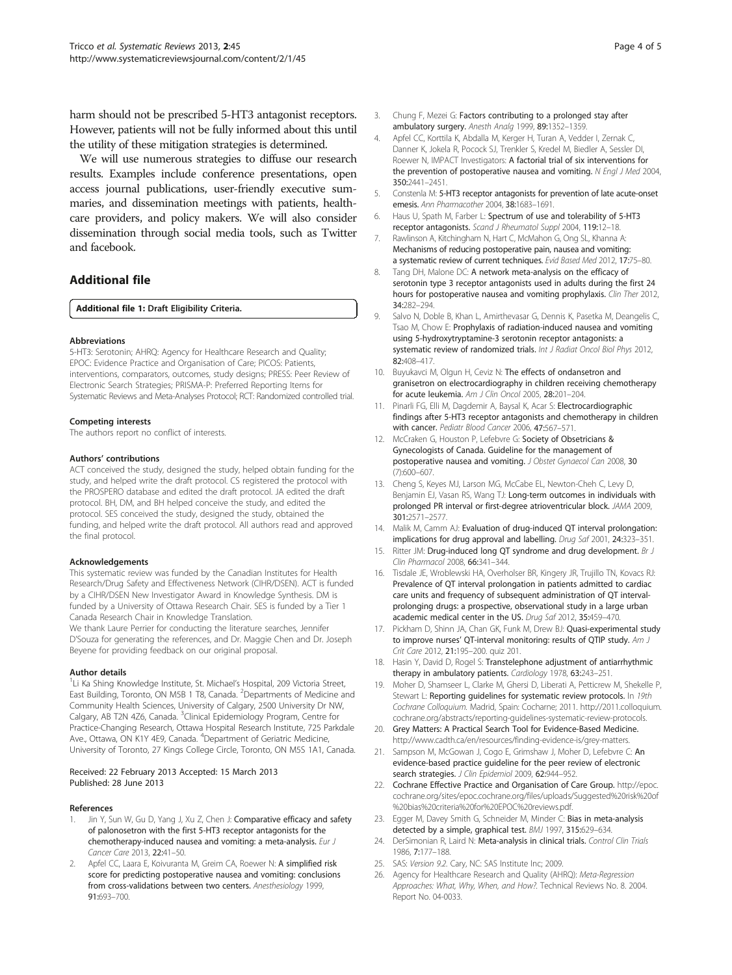<span id="page-3-0"></span>harm should not be prescribed 5-HT3 antagonist receptors. However, patients will not be fully informed about this until the utility of these mitigation strategies is determined.

We will use numerous strategies to diffuse our research results. Examples include conference presentations, open access journal publications, user-friendly executive summaries, and dissemination meetings with patients, healthcare providers, and policy makers. We will also consider dissemination through social media tools, such as Twitter and facebook.

## Additional file

#### [Additional file 1:](http://www.biomedcentral.com/content/supplementary/2046-4053-2-45-S1.docx) Draft Eligibility Criteria.

#### Abbreviations

5-HT3: Serotonin; AHRQ: Agency for Healthcare Research and Quality; EPOC: Evidence Practice and Organisation of Care; PICOS: Patients, interventions, comparators, outcomes, study designs; PRESS: Peer Review of Electronic Search Strategies; PRISMA-P: Preferred Reporting Items for Systematic Reviews and Meta-Analyses Protocol; RCT: Randomized controlled trial.

#### Competing interests

The authors report no conflict of interests.

#### Authors' contributions

ACT conceived the study, designed the study, helped obtain funding for the study, and helped write the draft protocol. CS registered the protocol with the PROSPERO database and edited the draft protocol. JA edited the draft protocol. BH, DM, and BH helped conceive the study, and edited the protocol. SES conceived the study, designed the study, obtained the funding, and helped write the draft protocol. All authors read and approved the final protocol.

#### Acknowledgements

This systematic review was funded by the Canadian Institutes for Health Research/Drug Safety and Effectiveness Network (CIHR/DSEN). ACT is funded by a CIHR/DSEN New Investigator Award in Knowledge Synthesis. DM is funded by a University of Ottawa Research Chair. SES is funded by a Tier 1 Canada Research Chair in Knowledge Translation.

We thank Laure Perrier for conducting the literature searches, Jennifer D'Souza for generating the references, and Dr. Maggie Chen and Dr. Joseph Beyene for providing feedback on our original proposal.

#### Author details

<sup>1</sup>Li Ka Shing Knowledge Institute, St. Michael's Hospital, 209 Victoria Street, East Building, Toronto, ON M5B 1 T8, Canada. <sup>2</sup>Departments of Medicine and Community Health Sciences, University of Calgary, 2500 University Dr NW, Calgary, AB T2N 4Z6, Canada. <sup>3</sup>Clinical Epidemiology Program, Centre for Practice-Changing Research, Ottawa Hospital Research Institute, 725 Parkdale Ave., Ottawa, ON K1Y 4E9, Canada. <sup>4</sup>Department of Geriatric Medicine, University of Toronto, 27 Kings College Circle, Toronto, ON M5S 1A1, Canada.

#### Received: 22 February 2013 Accepted: 15 March 2013 Published: 28 June 2013

#### References

- 1. Jin Y, Sun W, Gu D, Yang J, Xu Z, Chen J: Comparative efficacy and safety of palonosetron with the first 5-HT3 receptor antagonists for the chemotherapy-induced nausea and vomiting: a meta-analysis. Eur J Cancer Care 2013, 22:41–50.
- 2. Apfel CC, Laara E, Koivuranta M, Greim CA, Roewer N: A simplified risk score for predicting postoperative nausea and vomiting: conclusions from cross-validations between two centers. Anesthesiology 1999, 91:693–700.
- 3. Chung F, Mezei G: Factors contributing to a prolonged stay after ambulatory surgery. Anesth Analg 1999, 89:1352–1359.
- 4. Apfel CC, Korttila K, Abdalla M, Kerger H, Turan A, Vedder I, Zernak C, Danner K, Jokela R, Pocock SJ, Trenkler S, Kredel M, Biedler A, Sessler DI, Roewer N, IMPACT Investigators: A factorial trial of six interventions for the prevention of postoperative nausea and vomiting. N Engl J Med 2004, 350:2441–2451.
- 5. Constenla M: 5-HT3 receptor antagonists for prevention of late acute-onset emesis. Ann Pharmacother 2004, 38:1683–1691.
- 6. Haus U, Spath M, Farber L: Spectrum of use and tolerability of 5-HT3 receptor antagonists. Scand J Rheumatol Suppl 2004, 119:12–18.
- 7. Rawlinson A, Kitchingham N, Hart C, McMahon G, Ong SL, Khanna A: Mechanisms of reducing postoperative pain, nausea and vomiting: a systematic review of current techniques. Evid Based Med 2012, 17:75–80.
- 8. Tang DH, Malone DC: A network meta-analysis on the efficacy of serotonin type 3 receptor antagonists used in adults during the first 24 hours for postoperative nausea and vomiting prophylaxis. Clin Ther 2012, 34:282–294.
- 9. Salvo N, Doble B, Khan L, Amirthevasar G, Dennis K, Pasetka M, Deangelis C, Tsao M, Chow E: Prophylaxis of radiation-induced nausea and vomiting using 5-hydroxytryptamine-3 serotonin receptor antagonists: a systematic review of randomized trials. Int J Radiat Oncol Biol Phys 2012, 82:408–417.
- 10. Buyukavci M, Olgun H, Ceviz N: The effects of ondansetron and granisetron on electrocardiography in children receiving chemotherapy for acute leukemia. Am J Clin Oncol 2005, 28:201–204.
- 11. Pinarli FG, Elli M, Dagdemir A, Baysal K, Acar S: Electrocardiographic findings after 5-HT3 receptor antagonists and chemotherapy in children with cancer. Pediatr Blood Cancer 2006, 47:567–571.
- 12. McCraken G, Houston P, Lefebvre G: Society of Obsetricians & Gynecologists of Canada. Guideline for the management of postoperative nausea and vomiting. J Obstet Gynaecol Can 2008, 30 (7):600–607.
- 13. Cheng S, Keyes MJ, Larson MG, McCabe EL, Newton-Cheh C, Levy D, Benjamin EJ, Vasan RS, Wang TJ: Long-term outcomes in individuals with prolonged PR interval or first-degree atrioventricular block. JAMA 2009, 301:2571–2577.
- 14. Malik M, Camm AJ: Evaluation of drug-induced QT interval prolongation: implications for drug approval and labelling. Drug Saf 2001, 24:323–351.
- 15. Ritter JM: Drug-induced long QT syndrome and drug development. Br J Clin Pharmacol 2008, 66:341–344.
- 16. Tisdale JE, Wroblewski HA, Overholser BR, Kingery JR, Trujillo TN, Kovacs RJ: Prevalence of QT interval prolongation in patients admitted to cardiac care units and frequency of subsequent administration of QT intervalprolonging drugs: a prospective, observational study in a large urban academic medical center in the US. Drug Saf 2012, 35:459–470.
- 17. Pickham D, Shinn JA, Chan GK, Funk M, Drew BJ: Quasi-experimental study to improve nurses' QT-interval monitoring: results of QTIP study. Am J Crit Care 2012, 21:195–200. quiz 201.
- 18. Hasin Y, David D, Rogel S: Transtelephone adjustment of antiarrhythmic therapy in ambulatory patients. Cardiology 1978, 63:243–251.
- 19. Moher D, Shamseer L, Clarke M, Ghersi D, Liberati A, Petticrew M, Shekelle P, Stewart L: Reporting quidelines for systematic review protocols. In 19th Cochrane Colloquium. Madrid, Spain: Cocharne; 2011. [http://2011.colloquium.](http://2011.colloquium.cochrane.org/abstracts/reporting-guidelines-systematic-review-protocols) [cochrane.org/abstracts/reporting-guidelines-systematic-review-protocols.](http://2011.colloquium.cochrane.org/abstracts/reporting-guidelines-systematic-review-protocols)
- 20. Grey Matters: A Practical Search Tool for Evidence-Based Medicine. [http://www.cadth.ca/en/resources/finding-evidence-is/grey-matters.](http://www.cadth.ca/en/resources/finding-evidence-is/grey-matters)
- 21. Sampson M, McGowan J, Cogo E, Grimshaw J, Moher D, Lefebvre C: An evidence-based practice guideline for the peer review of electronic search strategies. J Clin Epidemiol 2009, 62:944-952.
- 22. Cochrane Effective Practice and Organisation of Care Group. [http://epoc.](http://epoc.cochrane.org/sites/epoc.cochrane.org/files/uploads/Suggested%20risk%20of%20bias%20criteria%20for%20EPOC%20reviews.pdf) [cochrane.org/sites/epoc.cochrane.org/files/uploads/Suggested%20risk%20of](http://epoc.cochrane.org/sites/epoc.cochrane.org/files/uploads/Suggested%20risk%20of%20bias%20criteria%20for%20EPOC%20reviews.pdf) [%20bias%20criteria%20for%20EPOC%20reviews.pdf](http://epoc.cochrane.org/sites/epoc.cochrane.org/files/uploads/Suggested%20risk%20of%20bias%20criteria%20for%20EPOC%20reviews.pdf).
- 23. Egger M, Davey Smith G, Schneider M, Minder C: Bias in meta-analysis detected by a simple, graphical test. BMJ 1997, 315:629–634.
- 24. DerSimonian R, Laird N: Meta-analysis in clinical trials. Control Clin Trials 1986, 7:177–188.
- 25. SAS: Version 9.2. Cary, NC: SAS Institute Inc; 2009.
- 26. Agency for Healthcare Research and Quality (AHRQ): Meta-Regression Approaches: What, Why, When, and How?. Technical Reviews No. 8. 2004. Report No. 04-0033.